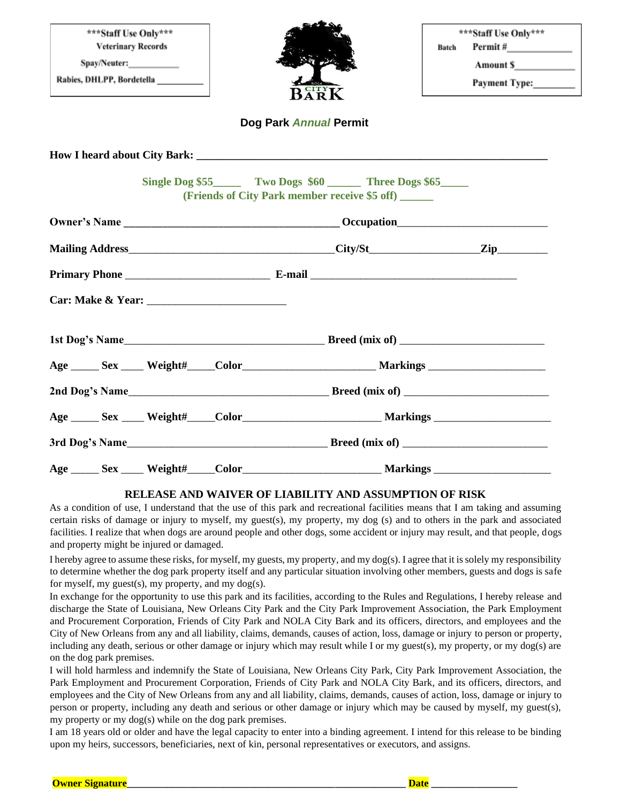| ***Staff Use Only***<br><b>Veterinary Records</b><br>Rabies, DHLPP, Bordetella__________                                                                                                                                            | BARK                                                                                           | ***Staff Use Only***<br>Batch<br>Amount S <sub>200</sub><br>Payment Type: |
|-------------------------------------------------------------------------------------------------------------------------------------------------------------------------------------------------------------------------------------|------------------------------------------------------------------------------------------------|---------------------------------------------------------------------------|
| Dog Park Annual Permit                                                                                                                                                                                                              |                                                                                                |                                                                           |
|                                                                                                                                                                                                                                     |                                                                                                |                                                                           |
|                                                                                                                                                                                                                                     | Single Dog \$55 Two Dogs \$60 Three Dogs \$65<br>(Friends of City Park member receive \$5 off) |                                                                           |
|                                                                                                                                                                                                                                     |                                                                                                |                                                                           |
|                                                                                                                                                                                                                                     |                                                                                                |                                                                           |
| <b>Primary Phone</b> E-mail E-mail E-mail E-mail E-mail E-mail E-mail E-mail E-mail E-mail E-mail E-mail E-mail E-mail E-mail E-mail E-mail E-mail E-mail E-mail E-mail E-mail E-mail E-mail E-mail E-mail E-mail E-mail E-mail E-m |                                                                                                |                                                                           |
|                                                                                                                                                                                                                                     |                                                                                                |                                                                           |
|                                                                                                                                                                                                                                     |                                                                                                |                                                                           |
|                                                                                                                                                                                                                                     |                                                                                                |                                                                           |
|                                                                                                                                                                                                                                     |                                                                                                |                                                                           |
|                                                                                                                                                                                                                                     |                                                                                                |                                                                           |
|                                                                                                                                                                                                                                     |                                                                                                |                                                                           |
|                                                                                                                                                                                                                                     |                                                                                                |                                                                           |

## **RELEASE AND WAIVER OF LIABILITY AND ASSUMPTION OF RISK**

As a condition of use, I understand that the use of this park and recreational facilities means that I am taking and assuming certain risks of damage or injury to myself, my guest(s), my property, my dog (s) and to others in the park and associated facilities. I realize that when dogs are around people and other dogs, some accident or injury may result, and that people, dogs and property might be injured or damaged.

I hereby agree to assume these risks, for myself, my guests, my property, and my dog(s). I agree that it is solely my responsibility to determine whether the dog park property itself and any particular situation involving other members, guests and dogs is safe for myself, my guest(s), my property, and my dog(s).

In exchange for the opportunity to use this park and its facilities, according to the Rules and Regulations, I hereby release and discharge the State of Louisiana, New Orleans City Park and the City Park Improvement Association, the Park Employment and Procurement Corporation, Friends of City Park and NOLA City Bark and its officers, directors, and employees and the City of New Orleans from any and all liability, claims, demands, causes of action, loss, damage or injury to person or property, including any death, serious or other damage or injury which may result while I or my guest(s), my property, or my dog(s) are on the dog park premises.

I will hold harmless and indemnify the State of Louisiana, New Orleans City Park, City Park Improvement Association, the Park Employment and Procurement Corporation, Friends of City Park and NOLA City Bark, and its officers, directors, and employees and the City of New Orleans from any and all liability, claims, demands, causes of action, loss, damage or injury to person or property, including any death and serious or other damage or injury which may be caused by myself, my guest(s), my property or my dog(s) while on the dog park premises.

I am 18 years old or older and have the legal capacity to enter into a binding agreement. I intend for this release to be binding upon my heirs, successors, beneficiaries, next of kin, personal representatives or executors, and assigns.

**Owner Signature**